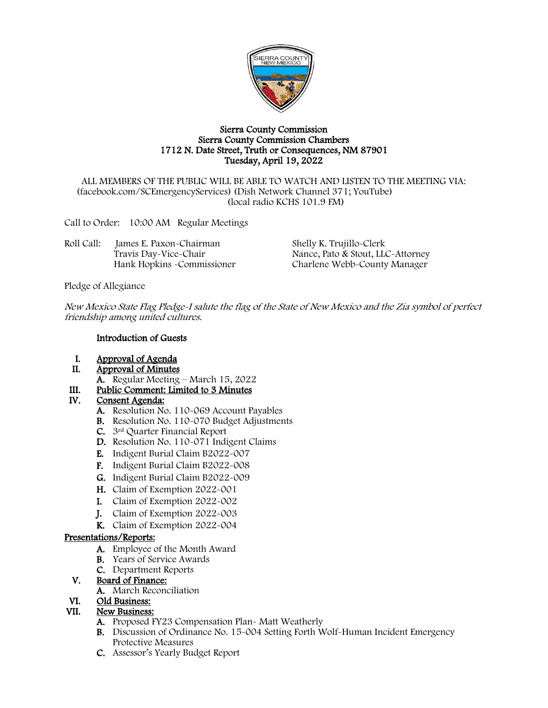

#### Sierra County Commission Sierra County Commission Chambers 1712 N. Date Street, Truth or Consequences, NM 87901 Tuesday, April 19, 2022

ALL MEMBERS OF THE PUBLIC WILL BE ABLE TO WATCH AND LISTEN TO THE MEETING VIA: (facebook.com/SCEmergencyServices) (Dish Network Channel 371; YouTube) (local radio KCHS 101.9 FM)

Call to Order: 10:00 AM Regular Meetings

| James E. Paxon-Chairman     | Shelly K. Trujillo-Clerk          |
|-----------------------------|-----------------------------------|
| Travis Day-Vice-Chair       | Nance, Pato & Stout, LLC-Attorney |
| Hank Hopkins - Commissioner | Charlene Webb-County Manager      |
|                             |                                   |

Pledge of Allegiance

New Mexico State Flag Pledge-I salute the flag of the State of New Mexico and the Zia symbol of perfect friendship among united cultures.

### Introduction of Guests

- I. Approval of Agenda<br>II. Approval of Minutes
- Approval of Minutes
	- A. Regular Meeting March 15, 2022
- III. Public Comment: Limited to 3 Minutes<br>IV. Consent Agenda:

## Consent Agenda:

- A. Resolution No. 110-069 Account Payables
- B. Resolution No. 110-070 Budget Adjustments
- C. 3rd Quarter Financial Report
- D. Resolution No. 110-071 Indigent Claims
- E. Indigent Burial Claim B2022-007
- F. Indigent Burial Claim B2022-008
- G. Indigent Burial Claim B2022-009
- H. Claim of Exemption 2022-001
- I. Claim of Exemption 2022-002
- J. Claim of Exemption 2022-003
- K. Claim of Exemption 2022-004

### Presentations/Reports:

- A. Employee of the Month Award
- B. Years of Service Awards
- C. Department Reports

## V. Board of Finance:

A. March Reconciliation

### VI. Old Business:

### VII. New Business:

- A. Proposed FY23 Compensation Plan- Matt Weatherly
- B. Discussion of Ordinance No. 15-004 Setting Forth Wolf-Human Incident Emergency Protective Measures
- C. Assessor's Yearly Budget Report